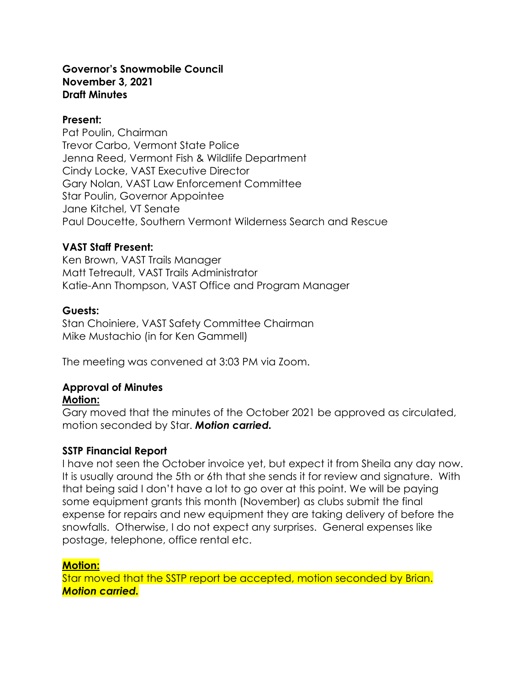#### **Governor's Snowmobile Council November 3, 2021 Draft Minutes**

#### **Present:**

Pat Poulin, Chairman Trevor Carbo, Vermont State Police Jenna Reed, Vermont Fish & Wildlife Department Cindy Locke, VAST Executive Director Gary Nolan, VAST Law Enforcement Committee Star Poulin, Governor Appointee Jane Kitchel, VT Senate Paul Doucette, Southern Vermont Wilderness Search and Rescue

# **VAST Staff Present:**

Ken Brown, VAST Trails Manager Matt Tetreault, VAST Trails Administrator Katie-Ann Thompson, VAST Office and Program Manager

# **Guests:**

Stan Choiniere, VAST Safety Committee Chairman Mike Mustachio (in for Ken Gammell)

The meeting was convened at 3:03 PM via Zoom.

# **Approval of Minutes**

#### **Motion:**

Gary moved that the minutes of the October 2021 be approved as circulated, motion seconded by Star. *Motion carried.*

# **SSTP Financial Report**

I have not seen the October invoice yet, but expect it from Sheila any day now. It is usually around the 5th or 6th that she sends it for review and signature. With that being said I don't have a lot to go over at this point. We will be paying some equipment grants this month (November) as clubs submit the final expense for repairs and new equipment they are taking delivery of before the snowfalls. Otherwise, I do not expect any surprises. General expenses like postage, telephone, office rental etc.

# **Motion:**

Star moved that the SSTP report be accepted, motion seconded by Brian. *Motion carried.*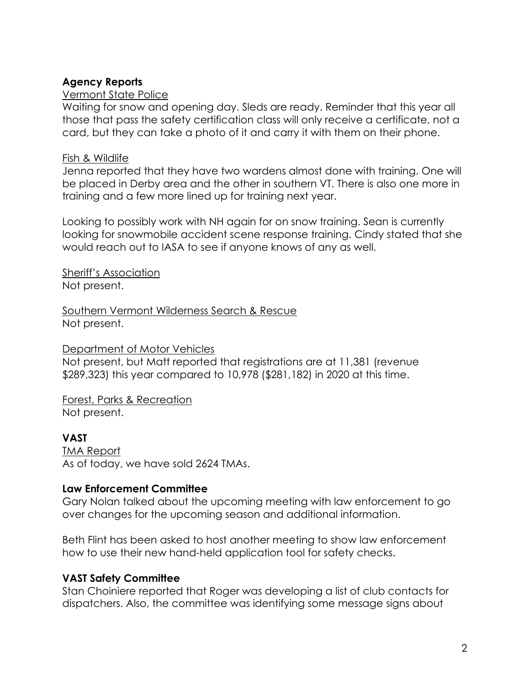# **Agency Reports**

### Vermont State Police

Waiting for snow and opening day. Sleds are ready. Reminder that this year all those that pass the safety certification class will only receive a certificate, not a card, but they can take a photo of it and carry it with them on their phone.

### Fish & Wildlife

Jenna reported that they have two wardens almost done with training. One will be placed in Derby area and the other in southern VT. There is also one more in training and a few more lined up for training next year.

Looking to possibly work with NH again for on snow training. Sean is currently looking for snowmobile accident scene response training. Cindy stated that she would reach out to IASA to see if anyone knows of any as well.

Sheriff's Association Not present.

Southern Vermont Wilderness Search & Rescue Not present.

#### Department of Motor Vehicles

Not present, but Matt reported that registrations are at 11,381 (revenue \$289,323) this year compared to 10,978 (\$281,182) in 2020 at this time.

Forest, Parks & Recreation Not present.

# **VAST**

TMA Report As of today, we have sold 2624 TMAs.

# **Law Enforcement Committee**

Gary Nolan talked about the upcoming meeting with law enforcement to go over changes for the upcoming season and additional information.

Beth Flint has been asked to host another meeting to show law enforcement how to use their new hand-held application tool for safety checks.

# **VAST Safety Committee**

Stan Choiniere reported that Roger was developing a list of club contacts for dispatchers. Also, the committee was identifying some message signs about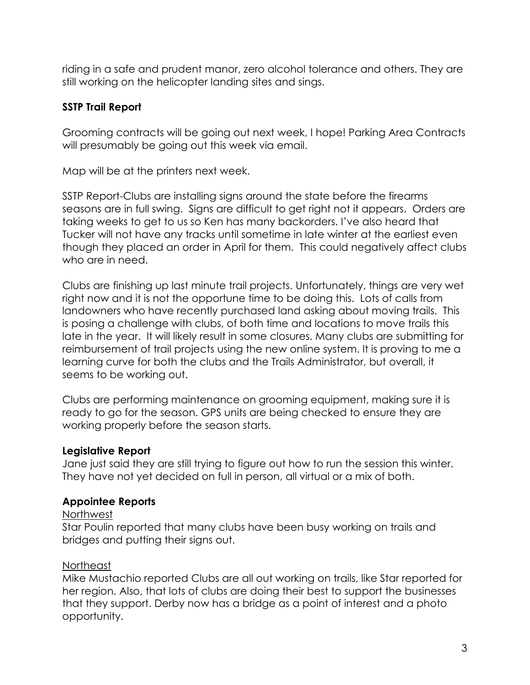riding in a safe and prudent manor, zero alcohol tolerance and others. They are still working on the helicopter landing sites and sings.

# **SSTP Trail Report**

Grooming contracts will be going out next week, I hope! Parking Area Contracts will presumably be going out this week via email.

Map will be at the printers next week.

SSTP Report-Clubs are installing signs around the state before the firearms seasons are in full swing. Signs are difficult to get right not it appears. Orders are taking weeks to get to us so Ken has many backorders. I've also heard that Tucker will not have any tracks until sometime in late winter at the earliest even though they placed an order in April for them. This could negatively affect clubs who are in need.

Clubs are finishing up last minute trail projects. Unfortunately, things are very wet right now and it is not the opportune time to be doing this. Lots of calls from landowners who have recently purchased land asking about moving trails. This is posing a challenge with clubs, of both time and locations to move trails this late in the year. It will likely result in some closures. Many clubs are submitting for reimbursement of trail projects using the new online system. It is proving to me a learning curve for both the clubs and the Trails Administrator, but overall, it seems to be working out.

Clubs are performing maintenance on grooming equipment, making sure it is ready to go for the season. GPS units are being checked to ensure they are working properly before the season starts.

# **Legislative Report**

Jane just said they are still trying to figure out how to run the session this winter. They have not yet decided on full in person, all virtual or a mix of both.

# **Appointee Reports**

# Northwest

Star Poulin reported that many clubs have been busy working on trails and bridges and putting their signs out.

# Northeast

Mike Mustachio reported Clubs are all out working on trails, like Star reported for her region. Also, that lots of clubs are doing their best to support the businesses that they support. Derby now has a bridge as a point of interest and a photo opportunity.